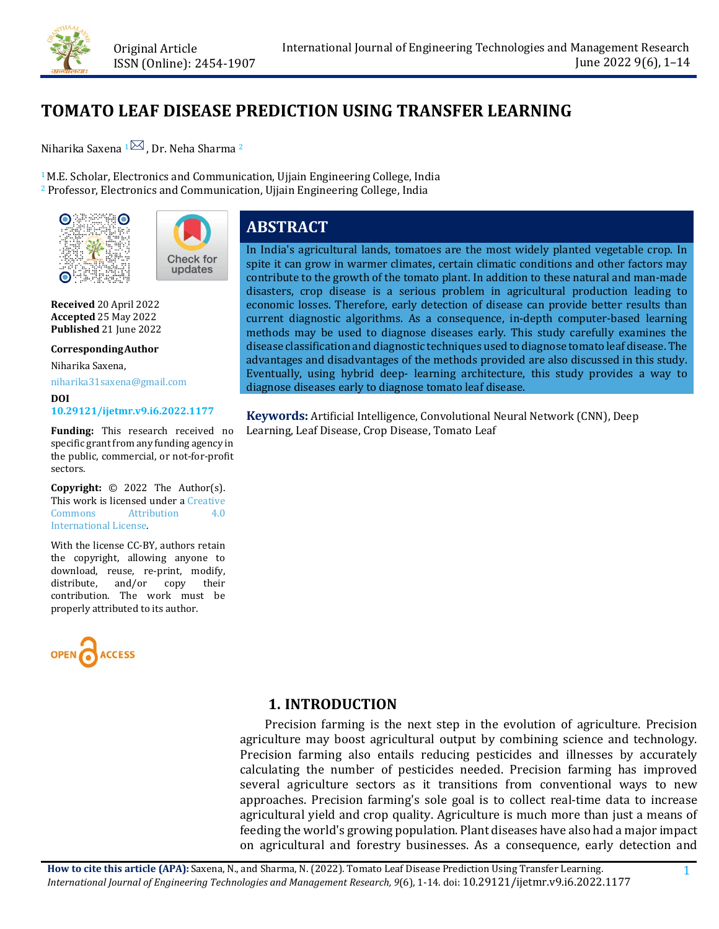

Check for updates

# **TOMATO LEAF DISEASE PREDICTION USING TRANSFER LEARNING**

Niharika Saxena  $1\overline{2}$ , Dr. Neha Sharma <sup>2</sup>

<sup>1</sup> M.E. Scholar, Electronics and Communication, Ujjain Engineering College, India <sup>2</sup> Professor, Electronics and Communication, Ujjain Engineering College, India



**Received** 20 April 2022 **Accepted** 25 May 2022 **Published** 21 June 2022

**CorrespondingAuthor**

Niharika Saxena,

[niharika31saxena@gmail.com](mailto:niharika31saxena@gmail.com)

**DOI [10.29121/ijetmr.v9.i6.2022.1177](https://dx.doi.org/10.29121/ijetmr.v9.i6.2022.1177)** 

**Funding:** This research received no specific grant from any funding agency in the public, commercial, or not-for-profit sectors.

**Copyright:** © 2022 The Author(s). This work is licensed under a Creative<br>Commons distribution 4.0 **Attribution** [International License.](https://creativecommons.org/licenses/by/4.0/)

With the license CC-BY, authors retain the copyright, allowing anyone to download, reuse, re-print, modify, distribute, and/or copy their contribution. The work must be properly attributed to its author.



# **ABSTRACT**

In India's agricultural lands, tomatoes are the most widely planted vegetable crop. In spite it can grow in warmer climates, certain climatic conditions and other factors may contribute to the growth of the tomato plant. In addition to these natural and man-made disasters, crop disease is a serious problem in agricultural production leading to economic losses. Therefore, early detection of disease can provide better results than current diagnostic algorithms. As a consequence, in-depth computer-based learning methods may be used to diagnose diseases early. This study carefully examines the disease classification and diagnostic techniques used to diagnose tomato leaf disease. The advantages and disadvantages of the methods provided are also discussed in this study. Eventually, using hybrid deep- learning architecture, this study provides a way to diagnose diseases early to diagnose tomato leaf disease.

**Keywords:** Artificial Intelligence, Convolutional Neural Network (CNN), Deep Learning, Leaf Disease, Crop Disease, Tomato Leaf

# **1. INTRODUCTION**

Precision farming is the next step in the evolution of agriculture. Precision agriculture may boost agricultural output by combining science and technology. Precision farming also entails reducing pesticides and illnesses by accurately calculating the number of pesticides needed. Precision farming has improved several agriculture sectors as it transitions from conventional ways to new approaches. Precision farming's sole goal is to collect real-time data to increase agricultural yield and crop quality. Agriculture is much more than just a means of feeding the world's growing population. Plant diseases have also had a major impact on agricultural and forestry businesses. As a consequence, early detection and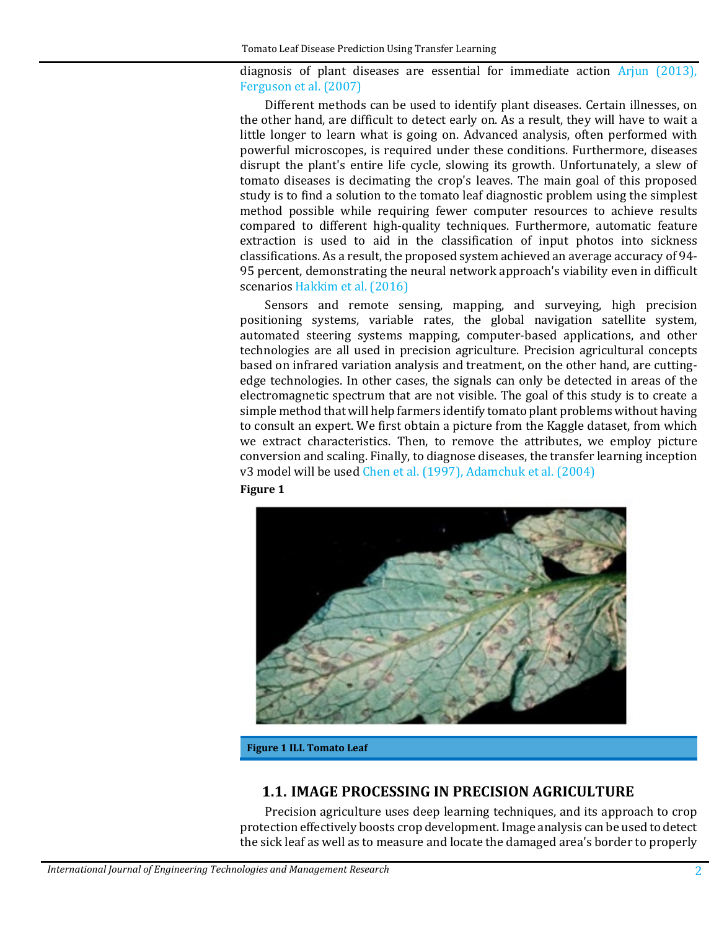diagnosis of plant diseases are essential for immediate action [Arjun \(2013\),](#page-11-0) [Ferguson et al. \(2007\)](#page-12-0)

Different methods can be used to identify plant diseases. Certain illnesses, on the other hand, are difficult to detect early on. As a result, they will have to wait a little longer to learn what is going on. Advanced analysis, often performed with powerful microscopes, is required under these conditions. Furthermore, diseases disrupt the plant's entire life cycle, slowing its growth. Unfortunately, a slew of tomato diseases is decimating the crop's leaves. The main goal of this proposed study is to find a solution to the tomato leaf diagnostic problem using the simplest method possible while requiring fewer computer resources to achieve results compared to different high-quality techniques. Furthermore, automatic feature extraction is used to aid in the classification of input photos into sickness classifications. As a result, the proposed system achieved an average accuracy of 94- 95 percent, demonstrating the neural network approach's viability even in difficult scenario[s Hakkim et al. \(2016\)](#page-12-1)

Sensors and remote sensing, mapping, and surveying, high precision positioning systems, variable rates, the global navigation satellite system, automated steering systems mapping, computer-based applications, and other technologies are all used in precision agriculture. Precision agricultural concepts based on infrared variation analysis and treatment, on the other hand, are cuttingedge technologies. In other cases, the signals can only be detected in areas of the electromagnetic spectrum that are not visible. The goal of this study is to create a simple method that will help farmers identify tomato plant problems without having to consult an expert. We first obtain a picture from the Kaggle dataset, from which we extract characteristics. Then, to remove the attributes, we employ picture conversion and scaling. Finally, to diagnose diseases, the transfer learning inception v3 model will be used [Chen et al. \(1997\),](#page-11-1) [Adamchuk et al. \(2004\)](#page-11-2)





**Figure 1 ILL Tomato Leaf**

# **1.1. IMAGE PROCESSING IN PRECISION AGRICULTURE**

Precision agriculture uses deep learning techniques, and its approach to crop protection effectively boosts crop development. Image analysis can be used to detect the sick leaf as well as to measure and locate the damaged area's border to properly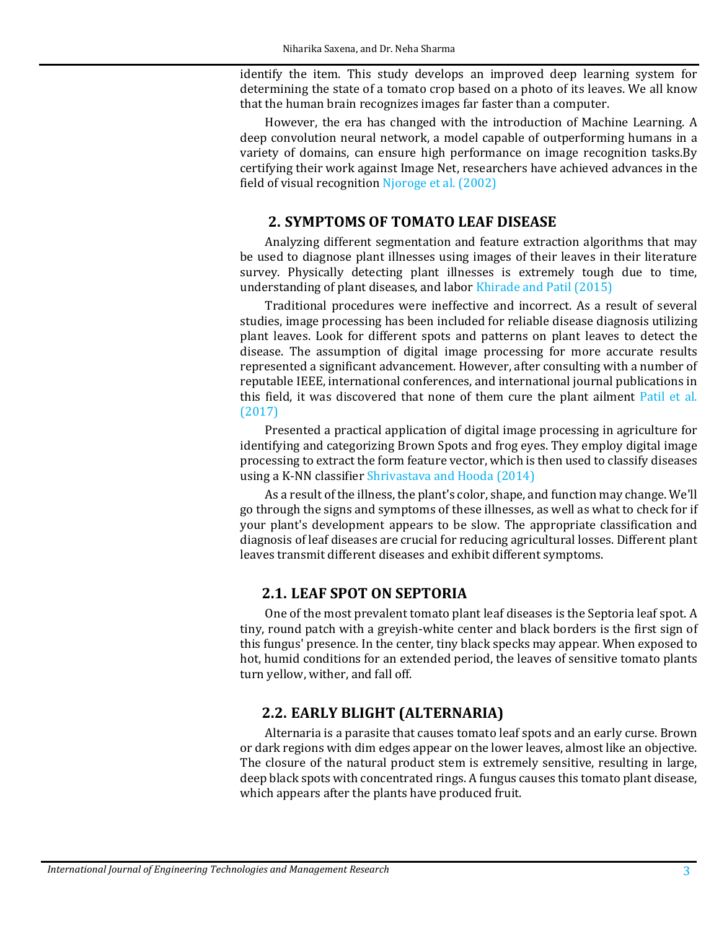identify the item. This study develops an improved deep learning system for determining the state of a tomato crop based on a photo of its leaves. We all know that the human brain recognizes images far faster than a computer.

However, the era has changed with the introduction of Machine Learning. A deep convolution neural network, a model capable of outperforming humans in a variety of domains, can ensure high performance on image recognition tasks.By certifying their work against Image Net, researchers have achieved advances in the field of visual recognition [Njoroge et al. \(2002\)](#page-12-2)

## **2. SYMPTOMS OF TOMATO LEAF DISEASE**

Analyzing different segmentation and feature extraction algorithms that may be used to diagnose plant illnesses using images of their leaves in their literature survey. Physically detecting plant illnesses is extremely tough due to time, understanding of plant diseases, and labo[r Khirade and Patil \(2015\)](#page-12-3)

Traditional procedures were ineffective and incorrect. As a result of several studies, image processing has been included for reliable disease diagnosis utilizing plant leaves. Look for different spots and patterns on plant leaves to detect the disease. The assumption of digital image processing for more accurate results represented a significant advancement. However, after consulting with a number of reputable IEEE, international conferences, and international journal publications in this field, it was discovered that none of them cure the plant ailment [Patil et al.](#page-12-4)  [\(2017\)](#page-12-4)

Presented a practical application of digital image processing in agriculture for identifying and categorizing Brown Spots and frog eyes. They employ digital image processing to extract the form feature vector, which is then used to classify diseases using a K-NN classifie[r Shrivastava and Hooda \(2014\)](#page-12-5)

As a result of the illness, the plant's color, shape, and function may change. We'll go through the signs and symptoms of these illnesses, as well as what to check for if your plant's development appears to be slow. The appropriate classification and diagnosis of leaf diseases are crucial for reducing agricultural losses. Different plant leaves transmit different diseases and exhibit different symptoms.

# **2.1. LEAF SPOT ON SEPTORIA**

One of the most prevalent tomato plant leaf diseases is the Septoria leaf spot. A tiny, round patch with a greyish-white center and black borders is the first sign of this fungus' presence. In the center, tiny black specks may appear. When exposed to hot, humid conditions for an extended period, the leaves of sensitive tomato plants turn yellow, wither, and fall off.

# **2.2. EARLY BLIGHT (ALTERNARIA)**

Alternaria is a parasite that causes tomato leaf spots and an early curse. Brown or dark regions with dim edges appear on the lower leaves, almost like an objective. The closure of the natural product stem is extremely sensitive, resulting in large, deep black spots with concentrated rings. A fungus causes this tomato plant disease, which appears after the plants have produced fruit.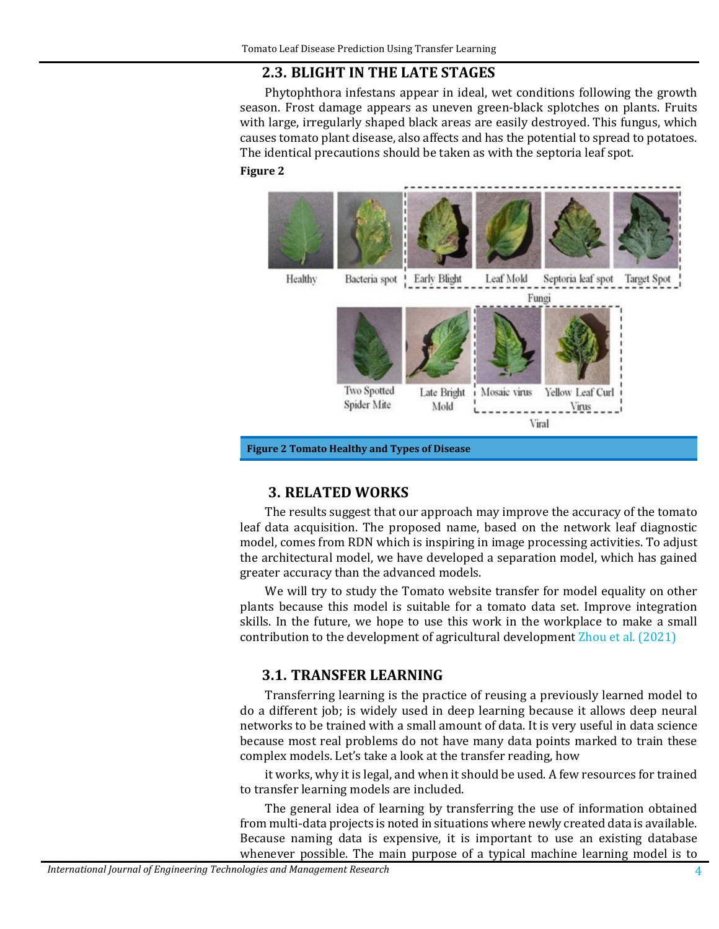# **2.3. BLIGHT IN THE LATE STAGES**

Phytophthora infestans appear in ideal, wet conditions following the growth season. Frost damage appears as uneven green-black splotches on plants. Fruits with large, irregularly shaped black areas are easily destroyed. This fungus, which causes tomato plant disease, also affects and has the potential to spread to potatoes. The identical precautions should be taken as with the septoria leaf spot. **Figure 2**



# **3. RELATED WORKS**

The results suggest that our approach may improve the accuracy of the tomato leaf data acquisition. The proposed name, based on the network leaf diagnostic model, comes from RDN which is inspiring in image processing activities. To adjust the architectural model, we have developed a separation model, which has gained greater accuracy than the advanced models.

We will try to study the Tomato website transfer for model equality on other plants because this model is suitable for a tomato data set. Improve integration skills. In the future, we hope to use this work in the workplace to make a small contribution to the development of agricultural development [Zhou et al. \(2021\)](#page-13-0)

# **3.1. TRANSFER LEARNING**

Transferring learning is the practice of reusing a previously learned model to do a different job; is widely used in deep learning because it allows deep neural networks to be trained with a small amount of data. It is very useful in data science because most real problems do not have many data points marked to train these complex models. Let's take a look at the transfer reading, how

it works, why it is legal, and when it should be used. A few resources for trained to transfer learning models are included.

The general idea of learning by transferring the use of information obtained from multi-data projects is noted in situations where newly created data is available. Because naming data is expensive, it is important to use an existing database whenever possible. The main purpose of a typical machine learning model is to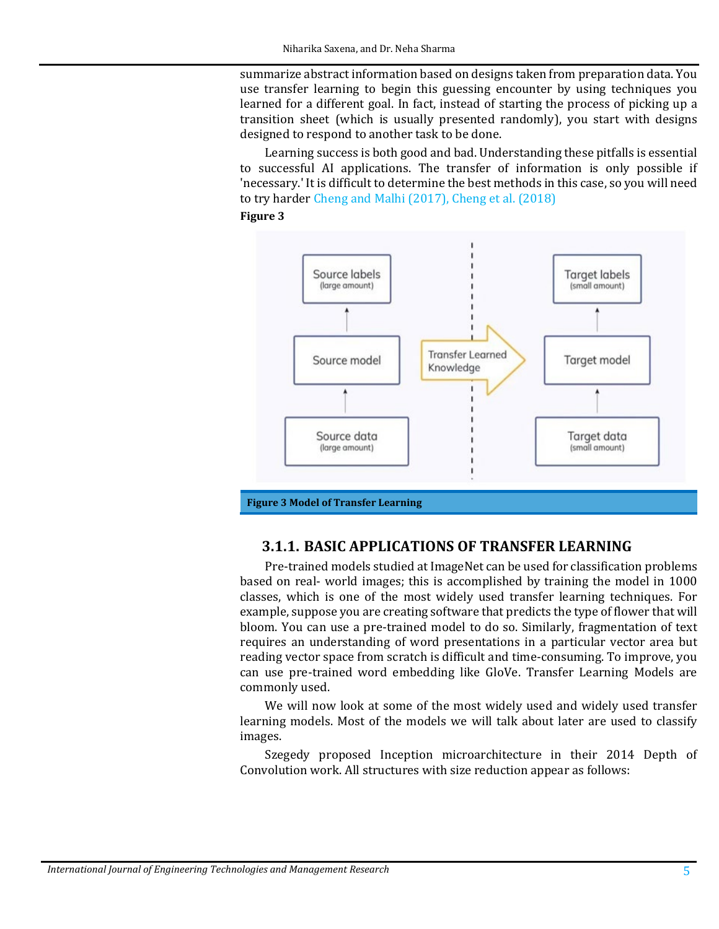summarize abstract information based on designs taken from preparation data. You use transfer learning to begin this guessing encounter by using techniques you learned for a different goal. In fact, instead of starting the process of picking up a transition sheet (which is usually presented randomly), you start with designs designed to respond to another task to be done.

Learning success is both good and bad. Understanding these pitfalls is essential to successful AI applications. The transfer of information is only possible if 'necessary.' It is difficult to determine the best methods in this case, so you will need to try harder [Cheng and Malhi \(2017\),](#page-11-3) [Cheng et al. \(2018\)](#page-12-6)

#### **Figure 3**



#### **3.1.1. BASIC APPLICATIONS OF TRANSFER LEARNING**

Pre-trained models studied at ImageNet can be used for classification problems based on real- world images; this is accomplished by training the model in 1000 classes, which is one of the most widely used transfer learning techniques. For example, suppose you are creating software that predicts the type of flower that will bloom. You can use a pre-trained model to do so. Similarly, fragmentation of text requires an understanding of word presentations in a particular vector area but reading vector space from scratch is difficult and time-consuming. To improve, you can use pre-trained word embedding like GloVe. Transfer Learning Models are commonly used.

We will now look at some of the most widely used and widely used transfer learning models. Most of the models we will talk about later are used to classify images.

Szegedy proposed Inception microarchitecture in their 2014 Depth of Convolution work. All structures with size reduction appear as follows: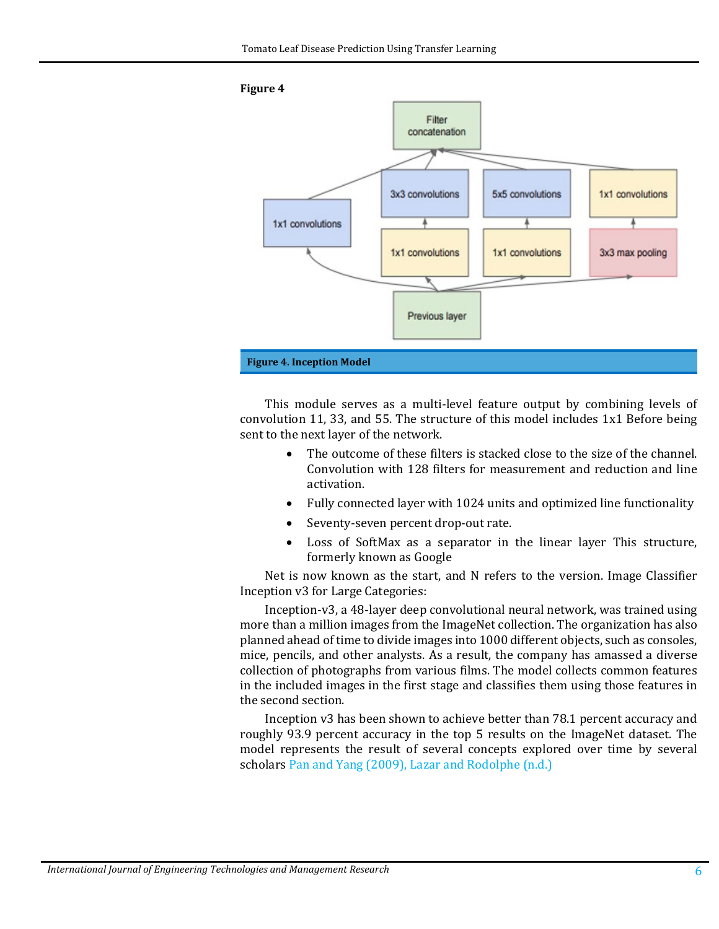

This module serves as a multi-level feature output by combining levels of convolution 11, 33, and 55. The structure of this model includes 1x1 Before being sent to the next layer of the network.

- The outcome of these filters is stacked close to the size of the channel. Convolution with 128 filters for measurement and reduction and line activation.
- Fully connected layer with 1024 units and optimized line functionality
- Seventy-seven percent drop-out rate.
- Loss of SoftMax as a separator in the linear layer This structure, formerly known as Google

Net is now known as the start, and N refers to the version. Image Classifier Inception v3 for Large Categories:

Inception-v3, a 48-layer deep convolutional neural network, was trained using more than a million images from the ImageNet collection. The organization has also planned ahead of time to divide images into 1000 different objects, such as consoles, mice, pencils, and other analysts. As a result, the company has amassed a diverse collection of photographs from various films. The model collects common features in the included images in the first stage and classifies them using those features in the second section.

Inception v3 has been shown to achieve better than 78.1 percent accuracy and roughly 93.9 percent accuracy in the top 5 results on the ImageNet dataset. The model represents the result of several concepts explored over time by several scholars [Pan and Yang \(2009\),](#page-12-7) [Lazar and Rodolphe \(n.d.\)](#page-12-8)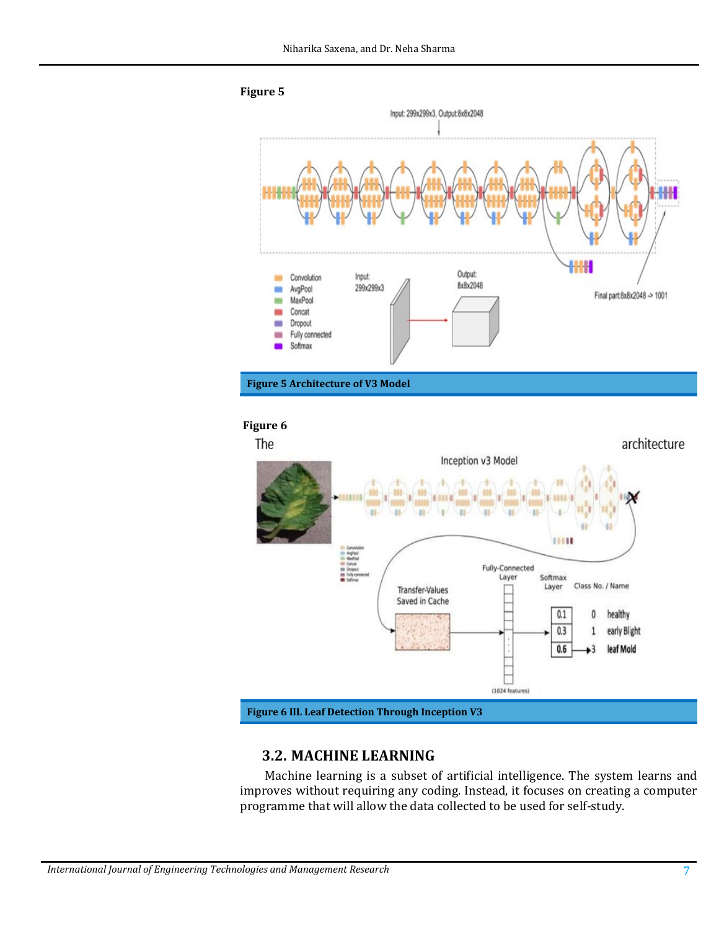

#### **Figure 6**



#### **3.2. MACHINE LEARNING**

Machine learning is a subset of artificial intelligence. The system learns and improves without requiring any coding. Instead, it focuses on creating a computer programme that will allow the data collected to be used for self-study.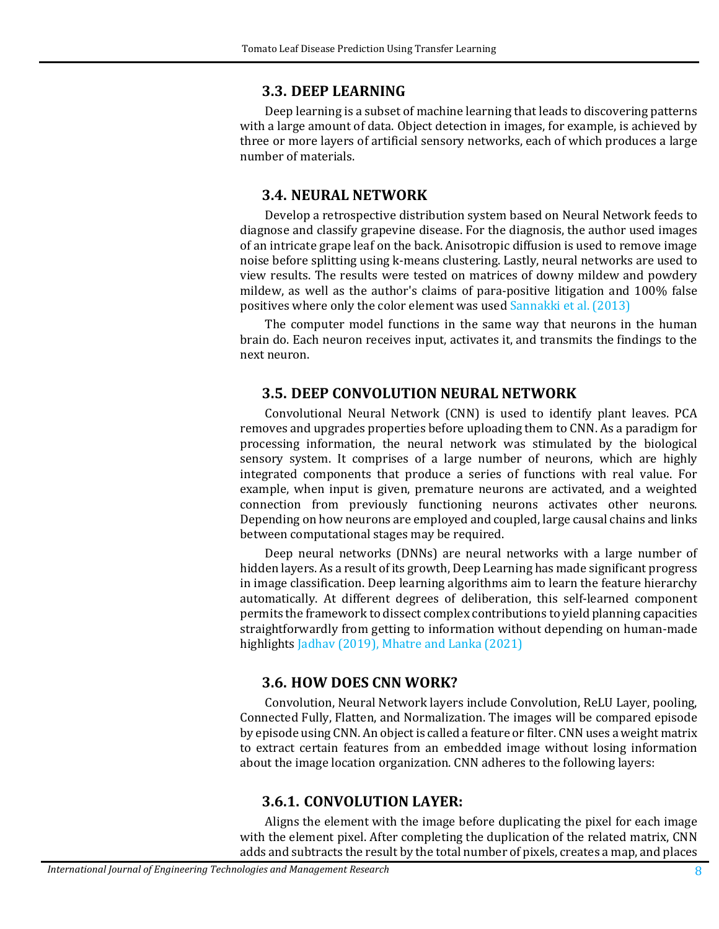#### **3.3. DEEP LEARNING**

Deep learning is a subset of machine learning that leads to discovering patterns with a large amount of data. Object detection in images, for example, is achieved by three or more layers of artificial sensory networks, each of which produces a large number of materials.

#### **3.4. NEURAL NETWORK**

Develop a retrospective distribution system based on Neural Network feeds to diagnose and classify grapevine disease. For the diagnosis, the author used images of an intricate grape leaf on the back. Anisotropic diffusion is used to remove image noise before splitting using k-means clustering. Lastly, neural networks are used to view results. The results were tested on matrices of downy mildew and powdery mildew, as well as the author's claims of para-positive litigation and 100% false positives where only the color element was used [Sannakki et al. \(2013\)](#page-12-9)

The computer model functions in the same way that neurons in the human brain do. Each neuron receives input, activates it, and transmits the findings to the next neuron.

#### **3.5. DEEP CONVOLUTION NEURAL NETWORK**

Convolutional Neural Network (CNN) is used to identify plant leaves. PCA removes and upgrades properties before uploading them to CNN. As a paradigm for processing information, the neural network was stimulated by the biological sensory system. It comprises of a large number of neurons, which are highly integrated components that produce a series of functions with real value. For example, when input is given, premature neurons are activated, and a weighted connection from previously functioning neurons activates other neurons. Depending on how neurons are employed and coupled, large causal chains and links between computational stages may be required.

Deep neural networks (DNNs) are neural networks with a large number of hidden layers. As a result of its growth, Deep Learning has made significant progress in image classification. Deep learning algorithms aim to learn the feature hierarchy automatically. At different degrees of deliberation, this self-learned component permits the framework to dissect complex contributions to yield planning capacities straightforwardly from getting to information without depending on human-made highlight[s Jadhav \(2019\),](#page-12-10) [Mhatre and Lanka \(2021\)](#page-12-11)

#### **3.6. HOW DOES CNN WORK?**

Convolution, Neural Network layers include Convolution, ReLU Layer, pooling, Connected Fully, Flatten, and Normalization. The images will be compared episode by episode using CNN. An object is called a feature or filter. CNN uses a weight matrix to extract certain features from an embedded image without losing information about the image location organization. CNN adheres to the following layers:

#### **3.6.1. CONVOLUTION LAYER:**

Aligns the element with the image before duplicating the pixel for each image with the element pixel. After completing the duplication of the related matrix, CNN adds and subtracts the result by the total number of pixels, creates a map, and places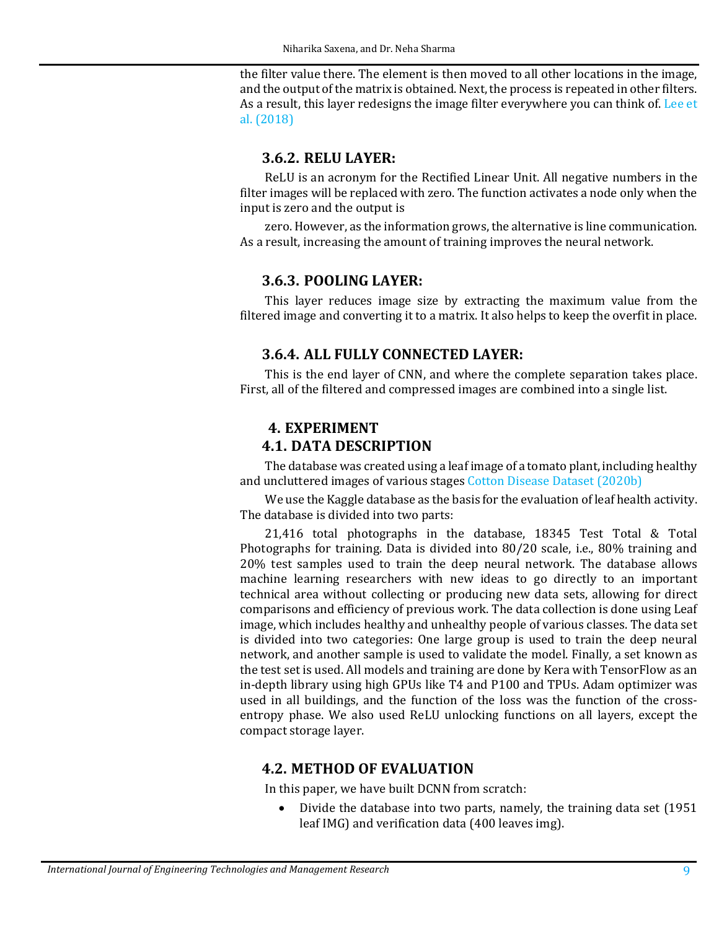the filter value there. The element is then moved to all other locations in the image, and the output of the matrix is obtained. Next, the process is repeated in other filters. As a result, this layer redesigns the image filter everywhere you can think of. [Lee et](#page-12-12)  [al. \(2018\)](#page-12-12)

## **3.6.2. RELU LAYER:**

ReLU is an acronym for the Rectified Linear Unit. All negative numbers in the filter images will be replaced with zero. The function activates a node only when the input is zero and the output is

zero. However, as the information grows, the alternative is line communication. As a result, increasing the amount of training improves the neural network.

### **3.6.3. POOLING LAYER:**

This layer reduces image size by extracting the maximum value from the filtered image and converting it to a matrix. It also helps to keep the overfit in place.

# **3.6.4. ALL FULLY CONNECTED LAYER:**

This is the end layer of CNN, and where the complete separation takes place. First, all of the filtered and compressed images are combined into a single list.

### **4. EXPERIMENT 4.1. DATA DESCRIPTION**

The database was created using a leaf image of a tomato plant, including healthy and uncluttered images of various stage[s Cotton Disease Dataset \(2020b\)](#page-12-13)

We use the Kaggle database as the basis for the evaluation of leaf health activity. The database is divided into two parts:

21,416 total photographs in the database, 18345 Test Total & Total Photographs for training. Data is divided into 80/20 scale, i.e., 80% training and 20% test samples used to train the deep neural network. The database allows machine learning researchers with new ideas to go directly to an important technical area without collecting or producing new data sets, allowing for direct comparisons and efficiency of previous work. The data collection is done using Leaf image, which includes healthy and unhealthy people of various classes. The data set is divided into two categories: One large group is used to train the deep neural network, and another sample is used to validate the model. Finally, a set known as the test set is used. All models and training are done by Kera with TensorFlow as an in-depth library using high GPUs like T4 and P100 and TPUs. Adam optimizer was used in all buildings, and the function of the loss was the function of the crossentropy phase. We also used ReLU unlocking functions on all layers, except the compact storage layer.

# **4.2. METHOD OF EVALUATION**

In this paper, we have built DCNN from scratch:

• Divide the database into two parts, namely, the training data set (1951 leaf IMG) and verification data (400 leaves img).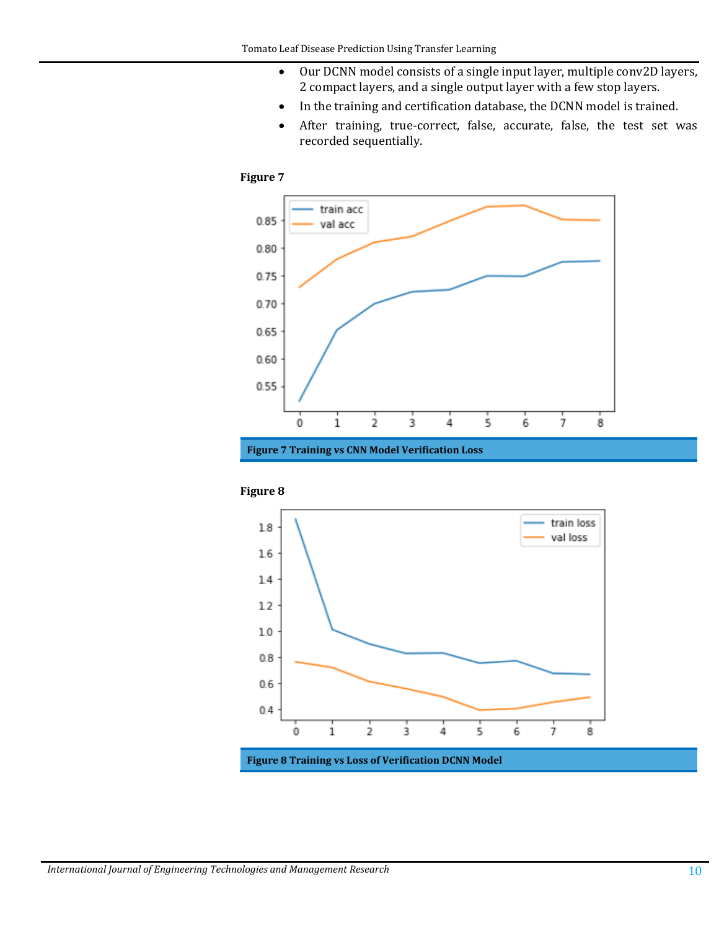- Our DCNN model consists of a single input layer, multiple conv2D layers, 2 compact layers, and a single output layer with a few stop layers.
- In the training and certification database, the DCNN model is trained.
- After training, true-correct, false, accurate, false, the test set was recorded sequentially.

#### **Figure 7**



**Figure 7 Training vs CNN Model Verification Loss**





**Figure 8 Training vs Loss of Verification DCNN Model**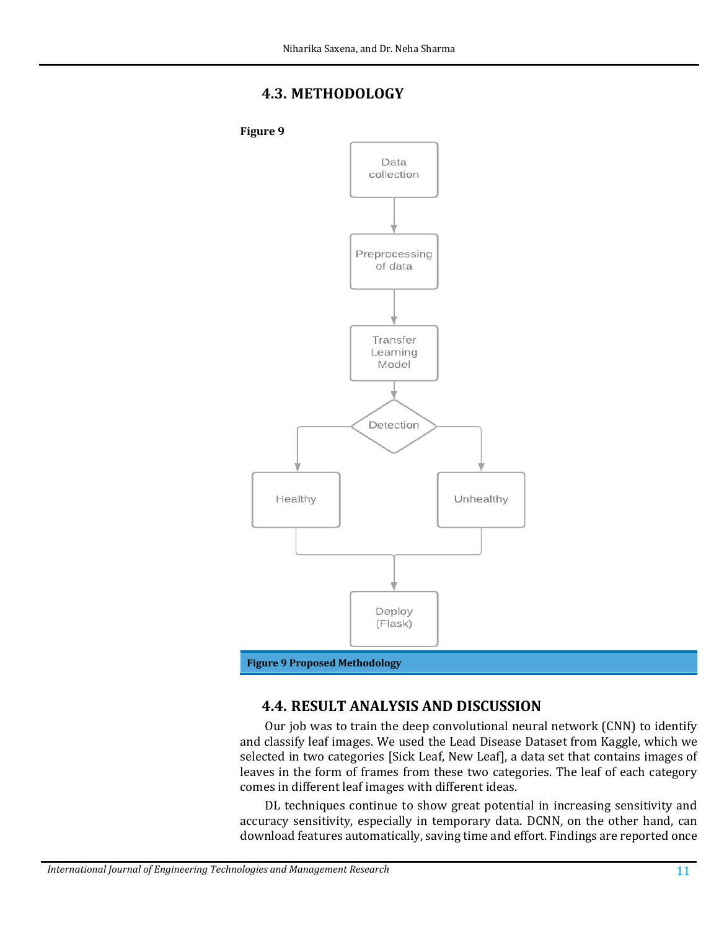# **4.3. METHODOLOGY**



# **4.4. RESULT ANALYSIS AND DISCUSSION**

Our job was to train the deep convolutional neural network (CNN) to identify and classify leaf images. We used the Lead Disease Dataset from Kaggle, which we selected in two categories [Sick Leaf, New Leaf], a data set that contains images of leaves in the form of frames from these two categories. The leaf of each category comes in different leaf images with different ideas.

DL techniques continue to show great potential in increasing sensitivity and accuracy sensitivity, especially in temporary data. DCNN, on the other hand, can download features automatically, saving time and effort. Findings are reported once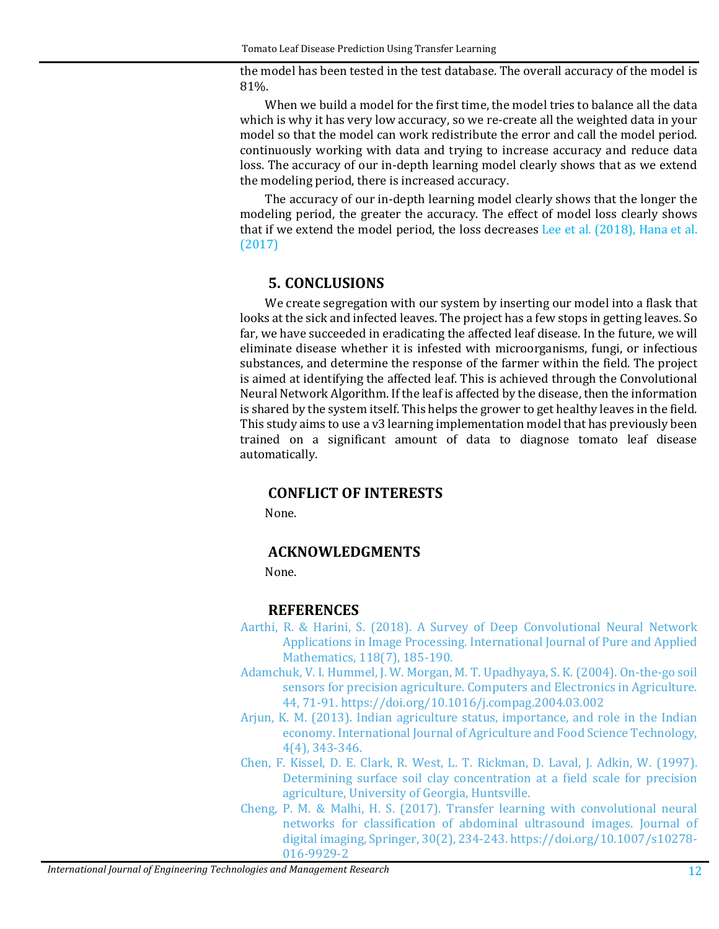the model has been tested in the test database. The overall accuracy of the model is 81%.

When we build a model for the first time, the model tries to balance all the data which is why it has very low accuracy, so we re-create all the weighted data in your model so that the model can work redistribute the error and call the model period. continuously working with data and trying to increase accuracy and reduce data loss. The accuracy of our in-depth learning model clearly shows that as we extend the modeling period, there is increased accuracy.

The accuracy of our in-depth learning model clearly shows that the longer the modeling period, the greater the accuracy. The effect of model loss clearly shows that if we extend the model period, the loss decreases [Lee et al. \(2018\),](#page-12-12) [Hana et al.](#page-12-14)  [\(2017\)](#page-12-14)

# **5. CONCLUSIONS**

We create segregation with our system by inserting our model into a flask that looks at the sick and infected leaves. The project has a few stops in getting leaves. So far, we have succeeded in eradicating the affected leaf disease. In the future, we will eliminate disease whether it is infested with microorganisms, fungi, or infectious substances, and determine the response of the farmer within the field. The project is aimed at identifying the affected leaf. This is achieved through the Convolutional Neural Network Algorithm. If the leaf is affected by the disease, then the information is shared by the system itself. This helps the grower to get healthy leaves in the field. This study aims to use a v3 learning implementation model that has previously been trained on a significant amount of data to diagnose tomato leaf disease automatically.

# **CONFLICT OF INTERESTS**

None.

# **ACKNOWLEDGMENTS**

None.

# **REFERENCES**

- [Aarthi, R. & Harini, S. \(2018\). A Survey of Deep Convolutional Neural Network](https://acadpubl.eu/jsi/2018-118-7-9/articles/7/25.pdf)  [Applications in Image Processing. International Journal of Pure and Applied](https://acadpubl.eu/jsi/2018-118-7-9/articles/7/25.pdf)  [Mathematics, 118\(7\), 185-190.](https://acadpubl.eu/jsi/2018-118-7-9/articles/7/25.pdf)
- <span id="page-11-2"></span>[Adamchuk, V. I. Hummel, J. W. Morgan, M. T. Upadhyaya, S.](https://doi.org/10.1016/j.compag.2004.03.002) K. (2004). On-the-go soil [sensors for precision agriculture. Computers and Electronics in Agriculture.](https://doi.org/10.1016/j.compag.2004.03.002)  [44, 71-91.](https://doi.org/10.1016/j.compag.2004.03.002) <https://doi.org/10.1016/j.compag.2004.03.002>
- <span id="page-11-0"></span>[Arjun, K. M. \(2013\). Indian agriculture status, importance, and role in the Indian](https://www.ripublication.com/ijafst_spl/ijafstv4n4spl_11.pdf)  [economy. International Journal of Agriculture and Food Science Technology,](https://www.ripublication.com/ijafst_spl/ijafstv4n4spl_11.pdf)  [4\(4\), 343-346.](https://www.ripublication.com/ijafst_spl/ijafstv4n4spl_11.pdf)
- <span id="page-11-1"></span>[Chen, F. Kissel, D. E. Clark, R. West, L. T. Rickman, D. Laval, J. Adkin, W. \(1997\).](https://dx.doi.org/10.29121/ijetmr.v9.i6.2022.1177)  [Determining surface soil clay concentration at a field scale for precision](https://dx.doi.org/10.29121/ijetmr.v9.i6.2022.1177)  [agriculture, University of Georgia, Huntsville.](https://dx.doi.org/10.29121/ijetmr.v9.i6.2022.1177)
- <span id="page-11-3"></span>[Cheng, P. M. & Malhi, H. S. \(2017\). Transfer learning with convolutional neural](https://doi.org/10.1007/s10278-016-9929-2)  [networks for classification of abdominal ultrasound images. Journal of](https://doi.org/10.1007/s10278-016-9929-2)  [digital imaging, Springer, 30\(2\), 234-243.](https://doi.org/10.1007/s10278-016-9929-2) [https://doi.org/10.1007/s10278-](https://doi.org/10.1007/s10278-016-9929-2) [016-9929-2](https://doi.org/10.1007/s10278-016-9929-2)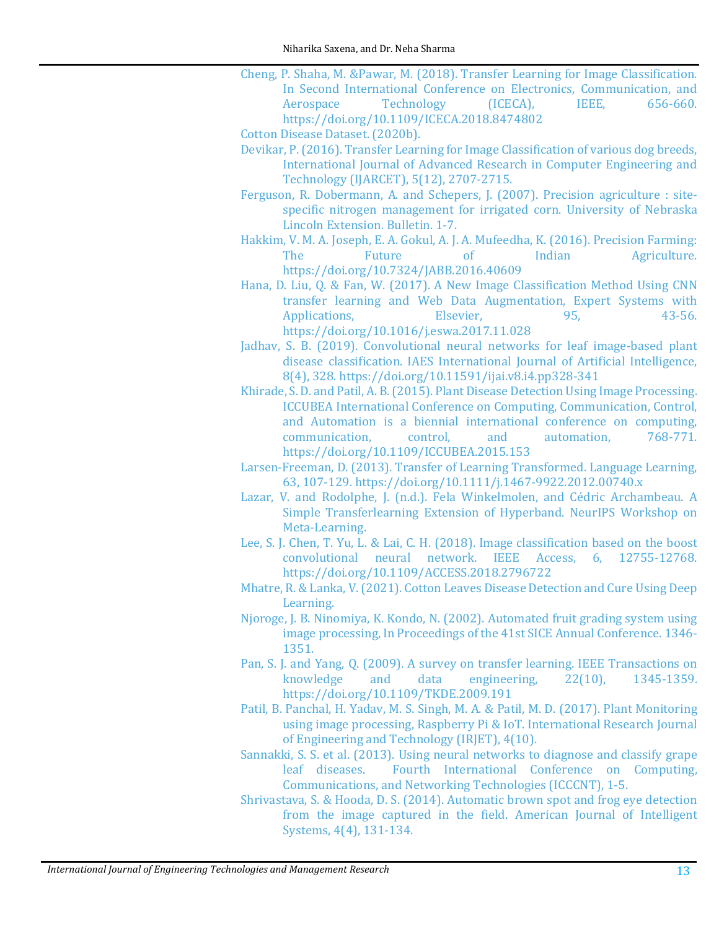- <span id="page-12-6"></span>[Cheng, P. Shaha, M. &Pawar, M. \(2018\). Transfer Learning for Image Classification.](https://doi.org/10.1109/ICECA.2018.8474802)  In Second International Conference on Electronics, Communication, and<br>Aerospace Technology (ICECA), IEEE, 656-660. [Aerospace Technology \(ICECA\), IEEE, 656-660.](https://doi.org/10.1109/ICECA.2018.8474802) <https://doi.org/10.1109/ICECA.2018.8474802>
- <span id="page-12-13"></span>[Cotton Disease Dataset. \(2020b\).](https://www.kaggle.com/janmejaybhoi/cotton-disease-datas)
- [Devikar, P. \(2016\). Transfer Learning for Image Classification of various dog breeds,](https://dx.doi.org/10.29121/ijetmr.v9.i6.2022.1177)  [International Journal of Advanced Research in Computer Engineering and](https://dx.doi.org/10.29121/ijetmr.v9.i6.2022.1177)  [Technology \(IJARCET\), 5\(12\), 2707-2715.](https://dx.doi.org/10.29121/ijetmr.v9.i6.2022.1177)
- <span id="page-12-0"></span>Ferguson, [R. Dobermann, A. and Schepers, J. \(2007\).](https://acsess.onlinelibrary.wiley.com/doi/abs/10.2134/1999.precisionagproc4.c70) Precision agriculture : site[specific nitrogen management for irrigated corn. University of Nebraska](https://acsess.onlinelibrary.wiley.com/doi/abs/10.2134/1999.precisionagproc4.c70)  [Lincoln Extension. Bulletin. 1-7.](https://acsess.onlinelibrary.wiley.com/doi/abs/10.2134/1999.precisionagproc4.c70)
- <span id="page-12-1"></span>[Hakkim, V. M. A. Joseph, E. A. Gokul, A. J. A. Mufeedha, K. \(2016\). Precision Farming:](https://doi.org/10.7324/JABB.2016.40609)  Agriculture. <https://doi.org/10.7324/JABB.2016.40609>
- <span id="page-12-14"></span>[Hana, D. Liu, Q. & Fan, W. \(2017\). A New Image Classification Method Using CNN](https://doi.org/10.1016/j.eswa.2017.11.028)  transfer learning and Web Data Augmentation, Expert Systems with<br>Applications, Elsevier, 95, 43-56. [Applications, Elsevier, 95, 43-56.](https://doi.org/10.1016/j.eswa.2017.11.028) <https://doi.org/10.1016/j.eswa.2017.11.028>
- <span id="page-12-10"></span>[Jadhav, S. B. \(2019\). Convolutional neural networks for leaf image-based plant](https://doi.org/10.11591/ijai.v8.i4.pp328-341)  [disease classification. IAES International Journal of Artificial Intelligence,](https://doi.org/10.11591/ijai.v8.i4.pp328-341)  [8\(4\), 328.](https://doi.org/10.11591/ijai.v8.i4.pp328-341) <https://doi.org/10.11591/ijai.v8.i4.pp328-341>
- <span id="page-12-3"></span>[Khirade, S. D. and Patil, A. B. \(2015\). Plant Disease Detection Using Image Processing.](https://doi.org/10.1109/ICCUBEA.2015.153)  [ICCUBEA International Conference on Computing, Communication, Control,](https://doi.org/10.1109/ICCUBEA.2015.153)  and Automation is a biennial international conference on computing,<br>
communication. control. and automation. 768-771. communication. <https://doi.org/10.1109/ICCUBEA.2015.153>
- [Larsen-Freeman, D. \(2013\). Transfer of Learning Transformed. Language Learning,](https://doi.org/10.1111/j.1467-9922.2012.00740.x)  [63, 107-129.](https://doi.org/10.1111/j.1467-9922.2012.00740.x) <https://doi.org/10.1111/j.1467-9922.2012.00740.x>
- <span id="page-12-8"></span>Lazar, V. and Rodolphe, J. [\(n.d.\). Fela Winkelmolen, and Cédric Archambeau. A](https://dx.doi.org/10.29121/ijetmr.v9.i6.2022.1177)  [Simple Transferlearning Extension of Hyperband. NeurIPS Workshop on](https://dx.doi.org/10.29121/ijetmr.v9.i6.2022.1177)  [Meta-Learning.](https://dx.doi.org/10.29121/ijetmr.v9.i6.2022.1177)
- <span id="page-12-12"></span>Lee, S. J. Chen, T. Yu, L. & Lai, C. H. (2018). Image classification based on the boost<br>convolutional neural network. IEEE Access. 6. 12755-12768. convolutional neural network. IEEE Access, <https://doi.org/10.1109/ACCESS.2018.2796722>
- <span id="page-12-11"></span>[Mhatre, R. & Lanka, V. \(2021\). Cotton Leaves Disease Detection and Cure Using Deep](https://www.irjmets.com/uploadedfiles/paper/volume3/issue_1_january_2021/5926/1628083243.pdf)  [Learning.](https://www.irjmets.com/uploadedfiles/paper/volume3/issue_1_january_2021/5926/1628083243.pdf)
- <span id="page-12-2"></span>[Njoroge, J. B. Ninomiya, K. Kondo, N. \(2002\). Automated fruit grading system using](https://ieeexplore.ieee.org/abstract/document/1195388)  [image processing, In Proceedings of the 41st SICE Annual Conference. 1346-](https://ieeexplore.ieee.org/abstract/document/1195388) [1351.](https://ieeexplore.ieee.org/abstract/document/1195388)
- <span id="page-12-7"></span>[Pan, S. J. and Yang, Q. \(2009\). A survey on transfer learning. IEEE Transactions on](https://doi.org/10.1109/TKDE.2009.191) knowledge and data engineering, 22(10), 1345-1359. engineering, <https://doi.org/10.1109/TKDE.2009.191>
- <span id="page-12-4"></span>[Patil, B. Panchal, H. Yadav, M. S. Singh, M. A. & Patil, M. D. \(2017\). Plant Monitoring](https://d1wqtxts1xzle7.cloudfront.net/54946853/IRJET-V4I10243-with-cover-page-v2.pdf?Expires=1655701666&Signature=X7KrjAn-ugEpT6wiLroaOP3o6BilptmHHzEF%7Em4-rn343rnveN-lGkSS0jvHGZdRWgZgEwjIcMFizxA9HUhUeZYeVpwhSkIuK%7ENNsU-R1cApmD798LwHPPYe5JOSxQdfmI0TOr1PZ3mURbSTejWMWztmhM6A3Bz4lO%7EGoUwa14pjB0DVUe9oDcwyETZzjxzGuRDQKa-f2%7Ethlb89bVROm7ruJlrateb5OYkZHFrCGIc9VH4GHqrWDiRDBYNqUjBbF0yMyt2CAkH6c59gQGnovWi9MQdyuRnmY4wsT0izv-a0zZmoff1Kct%7E7%7EkhIUsR0KaemDSJ5Kk1hg%7ENGq-6dtA__&Key-Pair-Id=APKAJLOHF5GGSLRBV4ZA)  [using image processing, Raspberry Pi & IoT. International Research Journal](https://d1wqtxts1xzle7.cloudfront.net/54946853/IRJET-V4I10243-with-cover-page-v2.pdf?Expires=1655701666&Signature=X7KrjAn-ugEpT6wiLroaOP3o6BilptmHHzEF%7Em4-rn343rnveN-lGkSS0jvHGZdRWgZgEwjIcMFizxA9HUhUeZYeVpwhSkIuK%7ENNsU-R1cApmD798LwHPPYe5JOSxQdfmI0TOr1PZ3mURbSTejWMWztmhM6A3Bz4lO%7EGoUwa14pjB0DVUe9oDcwyETZzjxzGuRDQKa-f2%7Ethlb89bVROm7ruJlrateb5OYkZHFrCGIc9VH4GHqrWDiRDBYNqUjBbF0yMyt2CAkH6c59gQGnovWi9MQdyuRnmY4wsT0izv-a0zZmoff1Kct%7E7%7EkhIUsR0KaemDSJ5Kk1hg%7ENGq-6dtA__&Key-Pair-Id=APKAJLOHF5GGSLRBV4ZA)  of Engineering [and Technology \(IRJET\), 4\(10\).](https://d1wqtxts1xzle7.cloudfront.net/54946853/IRJET-V4I10243-with-cover-page-v2.pdf?Expires=1655701666&Signature=X7KrjAn-ugEpT6wiLroaOP3o6BilptmHHzEF%7Em4-rn343rnveN-lGkSS0jvHGZdRWgZgEwjIcMFizxA9HUhUeZYeVpwhSkIuK%7ENNsU-R1cApmD798LwHPPYe5JOSxQdfmI0TOr1PZ3mURbSTejWMWztmhM6A3Bz4lO%7EGoUwa14pjB0DVUe9oDcwyETZzjxzGuRDQKa-f2%7Ethlb89bVROm7ruJlrateb5OYkZHFrCGIc9VH4GHqrWDiRDBYNqUjBbF0yMyt2CAkH6c59gQGnovWi9MQdyuRnmY4wsT0izv-a0zZmoff1Kct%7E7%7EkhIUsR0KaemDSJ5Kk1hg%7ENGq-6dtA__&Key-Pair-Id=APKAJLOHF5GGSLRBV4ZA)
- <span id="page-12-9"></span>Sannakki, S. S. et al. (2013). Using neural networks to diagnose and classify grape<br>leaf diseases. Fourth International Conference on Computing, Fourth International Conference on Computing, [Communications, and Networking Technologies \(ICCCNT\), 1-5.](https://dx.doi.org/10.29121/ijetmr.v9.i6.2022.1177)
- <span id="page-12-5"></span>[Shrivastava, S. & Hooda, D. S. \(2014\). Automatic brown spot and frog eye detection](http://article.sapub.org/10.5923.j.ajis.20140404.01.html)  [from the image captured in the field. American Journal of Intelligent](http://article.sapub.org/10.5923.j.ajis.20140404.01.html)  [Systems, 4\(4\), 131-134.](http://article.sapub.org/10.5923.j.ajis.20140404.01.html)